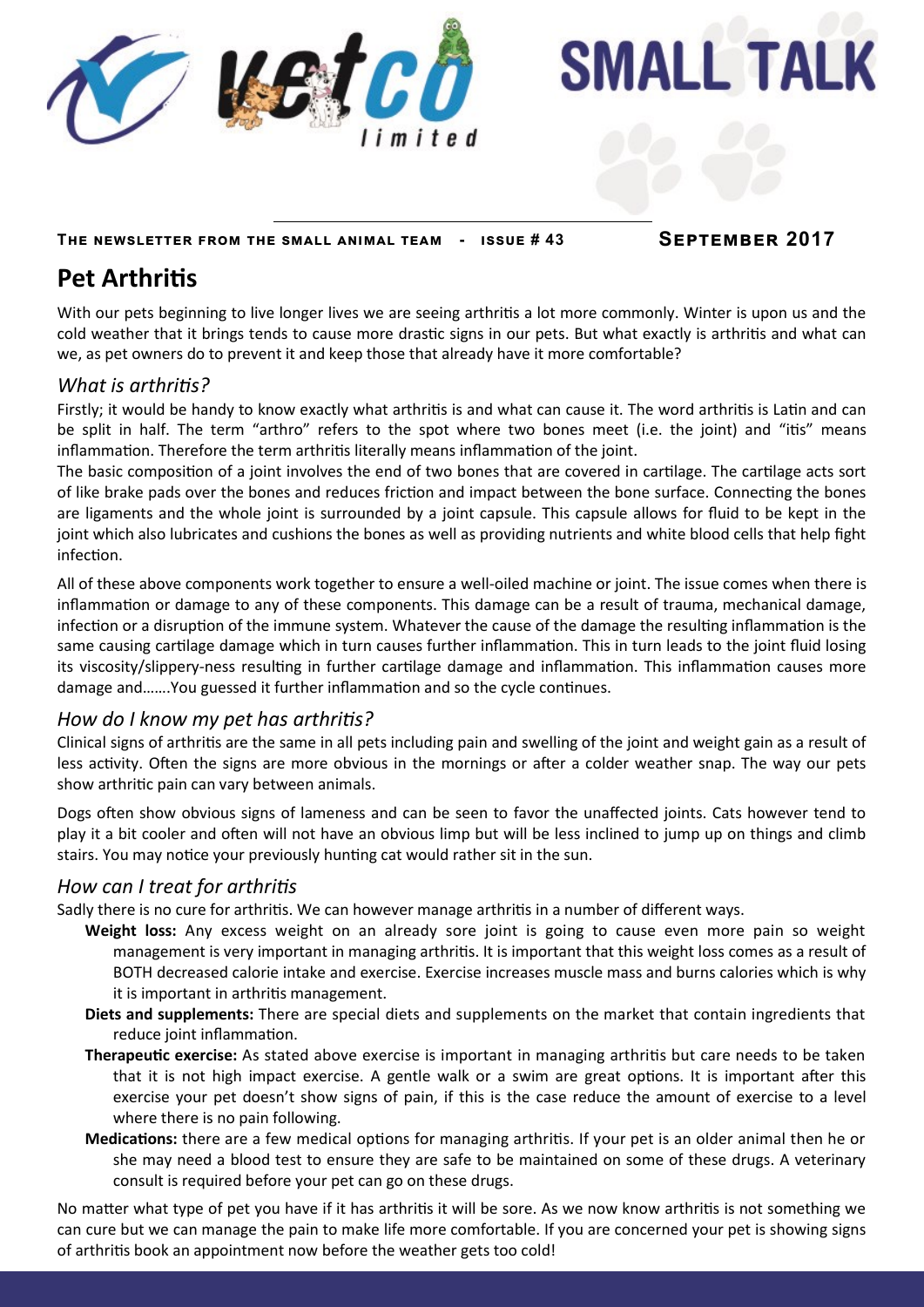

**SMALL TALK** 

**The newsletter from the small animal team - issue # 43 September 2017**

# **Pet Arthritis**

With our pets beginning to live longer lives we are seeing arthritis a lot more commonly. Winter is upon us and the cold weather that it brings tends to cause more drastic signs in our pets. But what exactly is arthritis and what can we, as pet owners do to prevent it and keep those that already have it more comfortable?

#### *What is arthritis?*

Firstly; it would be handy to know exactly what arthritis is and what can cause it. The word arthritis is Latin and can be split in half. The term "arthro" refers to the spot where two bones meet (i.e. the joint) and "itis" means inflammation. Therefore the term arthritis literally means inflammation of the joint.

The basic composition of a joint involves the end of two bones that are covered in cartilage. The cartilage acts sort of like brake pads over the bones and reduces friction and impact between the bone surface. Connecting the bones are ligaments and the whole joint is surrounded by a joint capsule. This capsule allows for fluid to be kept in the joint which also lubricates and cushions the bones as well as providing nutrients and white blood cells that help fight infection.

All of these above components work together to ensure a well-oiled machine or joint. The issue comes when there is inflammation or damage to any of these components. This damage can be a result of trauma, mechanical damage, infection or a disruption of the immune system. Whatever the cause of the damage the resulting inflammation is the same causing cartilage damage which in turn causes further inflammation. This in turn leads to the joint fluid losing its viscosity/slippery-ness resulting in further cartilage damage and inflammation. This inflammation causes more damage and…….You guessed it further inflammation and so the cycle continues.

#### *How do I know my pet has arthritis?*

Clinical signs of arthritis are the same in all pets including pain and swelling of the joint and weight gain as a result of less activity. Often the signs are more obvious in the mornings or after a colder weather snap. The way our pets show arthritic pain can vary between animals.

Dogs often show obvious signs of lameness and can be seen to favor the unaffected joints. Cats however tend to play it a bit cooler and often will not have an obvious limp but will be less inclined to jump up on things and climb stairs. You may notice your previously hunting cat would rather sit in the sun.

# *How can I treat for arthritis*

Sadly there is no cure for arthritis. We can however manage arthritis in a number of different ways.

- **Weight loss:** Any excess weight on an already sore joint is going to cause even more pain so weight management is very important in managing arthritis. It is important that this weight loss comes as a result of BOTH decreased calorie intake and exercise. Exercise increases muscle mass and burns calories which is why it is important in arthritis management.
- **Diets and supplements:** There are special diets and supplements on the market that contain ingredients that reduce joint inflammation.
- **Therapeutic exercise:** As stated above exercise is important in managing arthritis but care needs to be taken that it is not high impact exercise. A gentle walk or a swim are great options. It is important after this exercise your pet doesn't show signs of pain, if this is the case reduce the amount of exercise to a level where there is no pain following.
- **Medications:** there are a few medical options for managing arthritis. If your pet is an older animal then he or she may need a blood test to ensure they are safe to be maintained on some of these drugs. A veterinary consult is required before your pet can go on these drugs.

No matter what type of pet you have if it has arthritis it will be sore. As we now know arthritis is not something we can cure but we can manage the pain to make life more comfortable. If you are concerned your pet is showing signs of arthritis book an appointment now before the weather gets too cold!